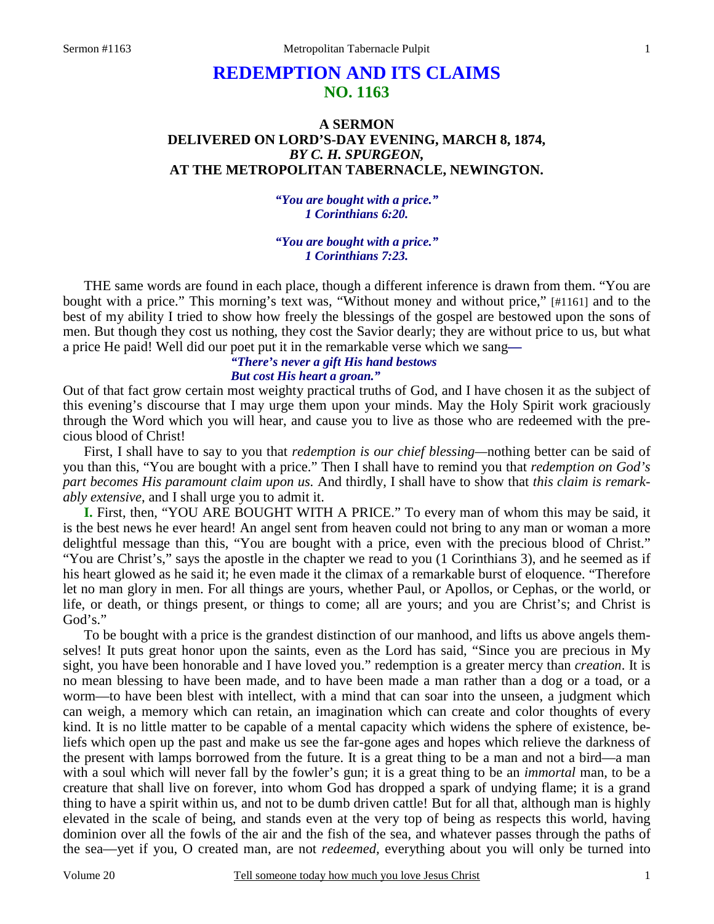# **REDEMPTION AND ITS CLAIMS NO. 1163**

# **A SERMON DELIVERED ON LORD'S-DAY EVENING, MARCH 8, 1874,**  *BY C. H. SPURGEON,*  **AT THE METROPOLITAN TABERNACLE, NEWINGTON.**

*"You are bought with a price." 1 Corinthians 6:20.* 

*"You are bought with a price." 1 Corinthians 7:23.* 

THE same words are found in each place, though a different inference is drawn from them. "You are bought with a price." This morning's text was, "Without money and without price," [#1161] and to the best of my ability I tried to show how freely the blessings of the gospel are bestowed upon the sons of men. But though they cost us nothing, they cost the Savior dearly; they are without price to us, but what a price He paid! Well did our poet put it in the remarkable verse which we sang*—* 

#### *"There's never a gift His hand bestows But cost His heart a groan."*

Out of that fact grow certain most weighty practical truths of God, and I have chosen it as the subject of this evening's discourse that I may urge them upon your minds. May the Holy Spirit work graciously through the Word which you will hear, and cause you to live as those who are redeemed with the precious blood of Christ!

First, I shall have to say to you that *redemption is our chief blessing—*nothing better can be said of you than this, "You are bought with a price." Then I shall have to remind you that *redemption on God's part becomes His paramount claim upon us.* And thirdly, I shall have to show that *this claim is remarkably extensive*, and I shall urge you to admit it.

**I.** First, then, "YOU ARE BOUGHT WITH A PRICE." To every man of whom this may be said, it is the best news he ever heard! An angel sent from heaven could not bring to any man or woman a more delightful message than this, "You are bought with a price, even with the precious blood of Christ." "You are Christ's," says the apostle in the chapter we read to you (1 Corinthians 3), and he seemed as if his heart glowed as he said it; he even made it the climax of a remarkable burst of eloquence. "Therefore let no man glory in men. For all things are yours, whether Paul, or Apollos, or Cephas, or the world, or life, or death, or things present, or things to come; all are yours; and you are Christ's; and Christ is God's."

To be bought with a price is the grandest distinction of our manhood, and lifts us above angels themselves! It puts great honor upon the saints, even as the Lord has said, "Since you are precious in My sight, you have been honorable and I have loved you." redemption is a greater mercy than *creation*. It is no mean blessing to have been made, and to have been made a man rather than a dog or a toad, or a worm—to have been blest with intellect, with a mind that can soar into the unseen, a judgment which can weigh, a memory which can retain, an imagination which can create and color thoughts of every kind. It is no little matter to be capable of a mental capacity which widens the sphere of existence, beliefs which open up the past and make us see the far-gone ages and hopes which relieve the darkness of the present with lamps borrowed from the future. It is a great thing to be a man and not a bird—a man with a soul which will never fall by the fowler's gun; it is a great thing to be an *immortal* man, to be a creature that shall live on forever, into whom God has dropped a spark of undying flame; it is a grand thing to have a spirit within us, and not to be dumb driven cattle! But for all that, although man is highly elevated in the scale of being, and stands even at the very top of being as respects this world, having dominion over all the fowls of the air and the fish of the sea, and whatever passes through the paths of the sea—yet if you, O created man, are not *redeemed,* everything about you will only be turned into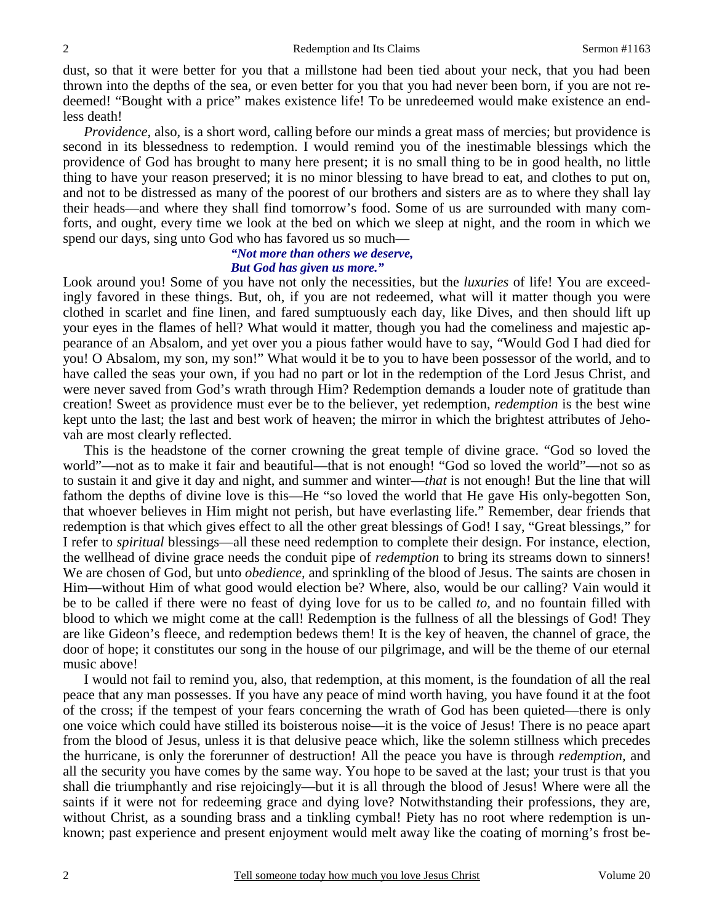dust, so that it were better for you that a millstone had been tied about your neck, that you had been thrown into the depths of the sea, or even better for you that you had never been born, if you are not redeemed! "Bought with a price" makes existence life! To be unredeemed would make existence an endless death!

*Providence*, also, is a short word, calling before our minds a great mass of mercies; but providence is second in its blessedness to redemption. I would remind you of the inestimable blessings which the providence of God has brought to many here present; it is no small thing to be in good health, no little thing to have your reason preserved; it is no minor blessing to have bread to eat, and clothes to put on, and not to be distressed as many of the poorest of our brothers and sisters are as to where they shall lay their heads—and where they shall find tomorrow's food. Some of us are surrounded with many comforts, and ought, every time we look at the bed on which we sleep at night, and the room in which we spend our days, sing unto God who has favored us so much—

### *"Not more than others we deserve, But God has given us more."*

Look around you! Some of you have not only the necessities, but the *luxuries* of life! You are exceedingly favored in these things. But, oh, if you are not redeemed, what will it matter though you were clothed in scarlet and fine linen, and fared sumptuously each day, like Dives, and then should lift up your eyes in the flames of hell? What would it matter, though you had the comeliness and majestic appearance of an Absalom, and yet over you a pious father would have to say, "Would God I had died for you! O Absalom, my son, my son!" What would it be to you to have been possessor of the world, and to have called the seas your own, if you had no part or lot in the redemption of the Lord Jesus Christ, and were never saved from God's wrath through Him? Redemption demands a louder note of gratitude than creation! Sweet as providence must ever be to the believer, yet redemption, *redemption* is the best wine kept unto the last; the last and best work of heaven; the mirror in which the brightest attributes of Jehovah are most clearly reflected.

This is the headstone of the corner crowning the great temple of divine grace. "God so loved the world"—not as to make it fair and beautiful—that is not enough! "God so loved the world"—not so as to sustain it and give it day and night, and summer and winter—*that* is not enough! But the line that will fathom the depths of divine love is this—He "so loved the world that He gave His only-begotten Son, that whoever believes in Him might not perish, but have everlasting life." Remember, dear friends that redemption is that which gives effect to all the other great blessings of God! I say, "Great blessings," for I refer to *spiritual* blessings—all these need redemption to complete their design. For instance, election, the wellhead of divine grace needs the conduit pipe of *redemption* to bring its streams down to sinners! We are chosen of God, but unto *obedience,* and sprinkling of the blood of Jesus. The saints are chosen in Him—without Him of what good would election be? Where, also, would be our calling? Vain would it be to be called if there were no feast of dying love for us to be called *to,* and no fountain filled with blood to which we might come at the call! Redemption is the fullness of all the blessings of God! They are like Gideon's fleece, and redemption bedews them! It is the key of heaven, the channel of grace, the door of hope; it constitutes our song in the house of our pilgrimage, and will be the theme of our eternal music above!

I would not fail to remind you, also, that redemption, at this moment, is the foundation of all the real peace that any man possesses. If you have any peace of mind worth having, you have found it at the foot of the cross; if the tempest of your fears concerning the wrath of God has been quieted—there is only one voice which could have stilled its boisterous noise—it is the voice of Jesus! There is no peace apart from the blood of Jesus, unless it is that delusive peace which, like the solemn stillness which precedes the hurricane, is only the forerunner of destruction! All the peace you have is through *redemption,* and all the security you have comes by the same way. You hope to be saved at the last; your trust is that you shall die triumphantly and rise rejoicingly—but it is all through the blood of Jesus! Where were all the saints if it were not for redeeming grace and dying love? Notwithstanding their professions, they are, without Christ, as a sounding brass and a tinkling cymbal! Piety has no root where redemption is unknown; past experience and present enjoyment would melt away like the coating of morning's frost be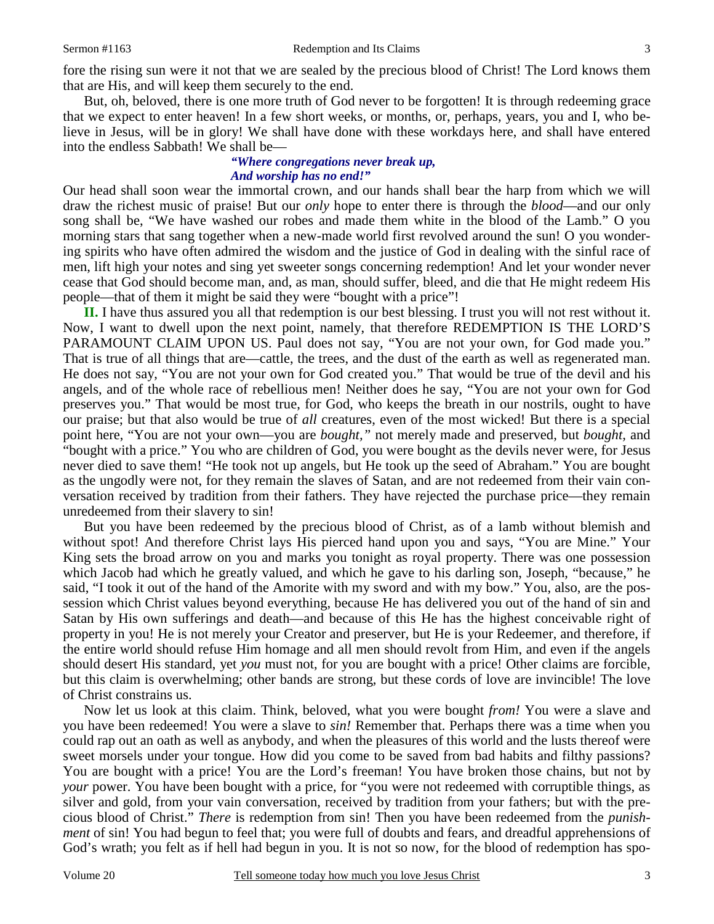fore the rising sun were it not that we are sealed by the precious blood of Christ! The Lord knows them that are His, and will keep them securely to the end.

But, oh, beloved, there is one more truth of God never to be forgotten! It is through redeeming grace that we expect to enter heaven! In a few short weeks, or months, or, perhaps, years, you and I, who believe in Jesus, will be in glory! We shall have done with these workdays here, and shall have entered into the endless Sabbath! We shall be—

#### *"Where congregations never break up, And worship has no end!"*

Our head shall soon wear the immortal crown, and our hands shall bear the harp from which we will draw the richest music of praise! But our *only* hope to enter there is through the *blood*—and our only song shall be, "We have washed our robes and made them white in the blood of the Lamb." O you morning stars that sang together when a new-made world first revolved around the sun! O you wondering spirits who have often admired the wisdom and the justice of God in dealing with the sinful race of men, lift high your notes and sing yet sweeter songs concerning redemption! And let your wonder never cease that God should become man, and, as man, should suffer, bleed, and die that He might redeem His people—that of them it might be said they were "bought with a price"!

**II.** I have thus assured you all that redemption is our best blessing. I trust you will not rest without it. Now, I want to dwell upon the next point, namely, that therefore REDEMPTION IS THE LORD'S PARAMOUNT CLAIM UPON US. Paul does not say, "You are not your own, for God made you." That is true of all things that are—cattle, the trees, and the dust of the earth as well as regenerated man. He does not say, "You are not your own for God created you." That would be true of the devil and his angels, and of the whole race of rebellious men! Neither does he say, "You are not your own for God preserves you." That would be most true, for God, who keeps the breath in our nostrils, ought to have our praise; but that also would be true of *all* creatures, even of the most wicked! But there is a special point here, "You are not your own—you are *bought,"* not merely made and preserved, but *bought,* and "bought with a price." You who are children of God, you were bought as the devils never were, for Jesus never died to save them! "He took not up angels, but He took up the seed of Abraham." You are bought as the ungodly were not, for they remain the slaves of Satan, and are not redeemed from their vain conversation received by tradition from their fathers. They have rejected the purchase price—they remain unredeemed from their slavery to sin!

But you have been redeemed by the precious blood of Christ, as of a lamb without blemish and without spot! And therefore Christ lays His pierced hand upon you and says, "You are Mine." Your King sets the broad arrow on you and marks you tonight as royal property. There was one possession which Jacob had which he greatly valued, and which he gave to his darling son, Joseph, "because," he said, "I took it out of the hand of the Amorite with my sword and with my bow." You, also, are the possession which Christ values beyond everything, because He has delivered you out of the hand of sin and Satan by His own sufferings and death—and because of this He has the highest conceivable right of property in you! He is not merely your Creator and preserver, but He is your Redeemer, and therefore, if the entire world should refuse Him homage and all men should revolt from Him, and even if the angels should desert His standard, yet *you* must not, for you are bought with a price! Other claims are forcible, but this claim is overwhelming; other bands are strong, but these cords of love are invincible! The love of Christ constrains us.

Now let us look at this claim. Think, beloved, what you were bought *from!* You were a slave and you have been redeemed! You were a slave to *sin!* Remember that. Perhaps there was a time when you could rap out an oath as well as anybody, and when the pleasures of this world and the lusts thereof were sweet morsels under your tongue. How did you come to be saved from bad habits and filthy passions? You are bought with a price! You are the Lord's freeman! You have broken those chains, but not by *your* power. You have been bought with a price, for "you were not redeemed with corruptible things, as silver and gold, from your vain conversation, received by tradition from your fathers; but with the precious blood of Christ." *There* is redemption from sin! Then you have been redeemed from the *punishment* of sin! You had begun to feel that; you were full of doubts and fears, and dreadful apprehensions of God's wrath; you felt as if hell had begun in you. It is not so now, for the blood of redemption has spo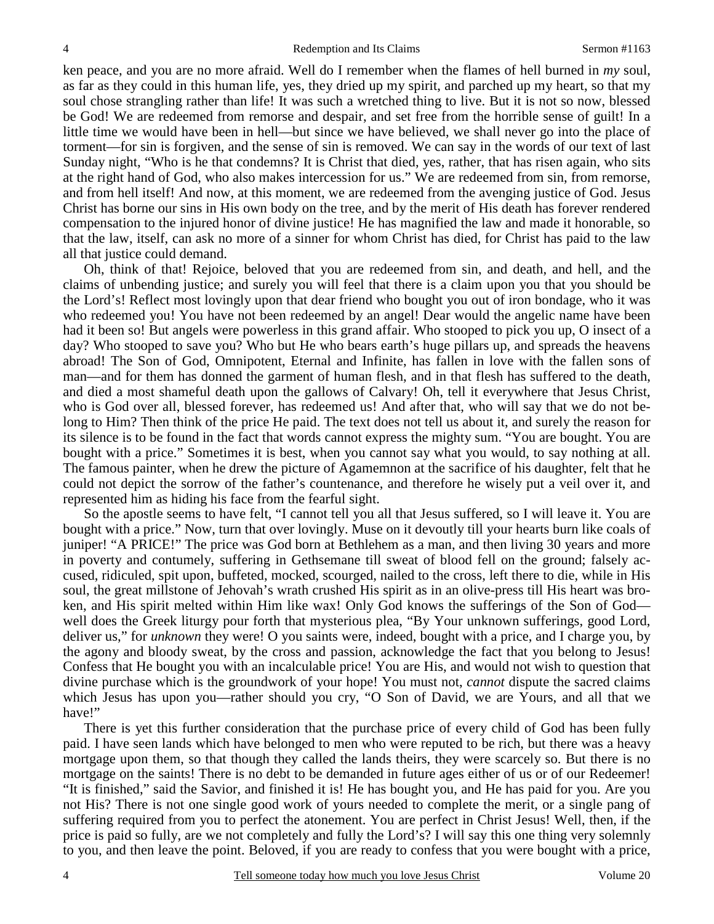ken peace, and you are no more afraid. Well do I remember when the flames of hell burned in *my* soul, as far as they could in this human life, yes, they dried up my spirit, and parched up my heart, so that my soul chose strangling rather than life! It was such a wretched thing to live. But it is not so now, blessed be God! We are redeemed from remorse and despair, and set free from the horrible sense of guilt! In a little time we would have been in hell—but since we have believed, we shall never go into the place of torment—for sin is forgiven, and the sense of sin is removed. We can say in the words of our text of last Sunday night, "Who is he that condemns? It is Christ that died, yes, rather, that has risen again, who sits at the right hand of God, who also makes intercession for us." We are redeemed from sin, from remorse, and from hell itself! And now, at this moment, we are redeemed from the avenging justice of God. Jesus Christ has borne our sins in His own body on the tree, and by the merit of His death has forever rendered compensation to the injured honor of divine justice! He has magnified the law and made it honorable, so that the law, itself, can ask no more of a sinner for whom Christ has died, for Christ has paid to the law all that justice could demand.

Oh, think of that! Rejoice, beloved that you are redeemed from sin, and death, and hell, and the claims of unbending justice; and surely you will feel that there is a claim upon you that you should be the Lord's! Reflect most lovingly upon that dear friend who bought you out of iron bondage, who it was who redeemed you! You have not been redeemed by an angel! Dear would the angelic name have been had it been so! But angels were powerless in this grand affair. Who stooped to pick you up, O insect of a day? Who stooped to save you? Who but He who bears earth's huge pillars up, and spreads the heavens abroad! The Son of God, Omnipotent, Eternal and Infinite, has fallen in love with the fallen sons of man—and for them has donned the garment of human flesh, and in that flesh has suffered to the death, and died a most shameful death upon the gallows of Calvary! Oh, tell it everywhere that Jesus Christ, who is God over all, blessed forever, has redeemed us! And after that, who will say that we do not belong to Him? Then think of the price He paid. The text does not tell us about it, and surely the reason for its silence is to be found in the fact that words cannot express the mighty sum. "You are bought. You are bought with a price." Sometimes it is best, when you cannot say what you would, to say nothing at all. The famous painter, when he drew the picture of Agamemnon at the sacrifice of his daughter, felt that he could not depict the sorrow of the father's countenance, and therefore he wisely put a veil over it, and represented him as hiding his face from the fearful sight.

So the apostle seems to have felt, "I cannot tell you all that Jesus suffered, so I will leave it. You are bought with a price." Now, turn that over lovingly. Muse on it devoutly till your hearts burn like coals of juniper! "A PRICE!" The price was God born at Bethlehem as a man, and then living 30 years and more in poverty and contumely, suffering in Gethsemane till sweat of blood fell on the ground; falsely accused, ridiculed, spit upon, buffeted, mocked, scourged, nailed to the cross, left there to die, while in His soul, the great millstone of Jehovah's wrath crushed His spirit as in an olive-press till His heart was broken, and His spirit melted within Him like wax! Only God knows the sufferings of the Son of God well does the Greek liturgy pour forth that mysterious plea, "By Your unknown sufferings, good Lord, deliver us," for *unknown* they were! O you saints were, indeed, bought with a price, and I charge you, by the agony and bloody sweat, by the cross and passion, acknowledge the fact that you belong to Jesus! Confess that He bought you with an incalculable price! You are His, and would not wish to question that divine purchase which is the groundwork of your hope! You must not, *cannot* dispute the sacred claims which Jesus has upon you—rather should you cry, "O Son of David, we are Yours, and all that we have!"

There is yet this further consideration that the purchase price of every child of God has been fully paid. I have seen lands which have belonged to men who were reputed to be rich, but there was a heavy mortgage upon them, so that though they called the lands theirs, they were scarcely so. But there is no mortgage on the saints! There is no debt to be demanded in future ages either of us or of our Redeemer! "It is finished," said the Savior, and finished it is! He has bought you, and He has paid for you. Are you not His? There is not one single good work of yours needed to complete the merit, or a single pang of suffering required from you to perfect the atonement. You are perfect in Christ Jesus! Well, then, if the price is paid so fully, are we not completely and fully the Lord's? I will say this one thing very solemnly to you, and then leave the point. Beloved, if you are ready to confess that you were bought with a price,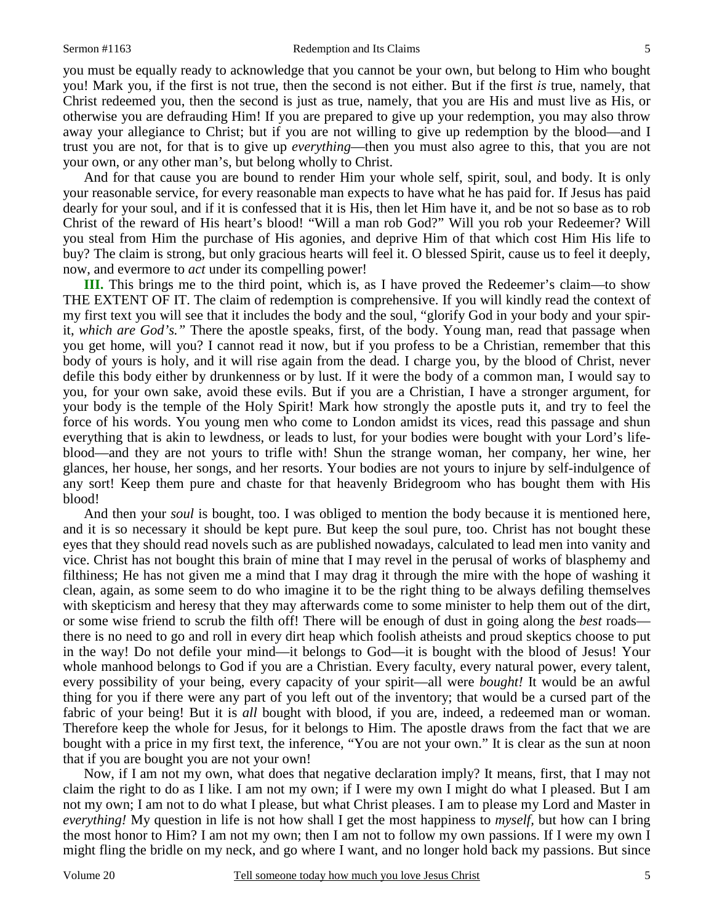you must be equally ready to acknowledge that you cannot be your own, but belong to Him who bought you! Mark you, if the first is not true, then the second is not either. But if the first *is* true, namely, that Christ redeemed you, then the second is just as true, namely, that you are His and must live as His, or otherwise you are defrauding Him! If you are prepared to give up your redemption, you may also throw away your allegiance to Christ; but if you are not willing to give up redemption by the blood—and I trust you are not, for that is to give up *everything*—then you must also agree to this, that you are not your own, or any other man's, but belong wholly to Christ.

And for that cause you are bound to render Him your whole self, spirit, soul, and body. It is only your reasonable service, for every reasonable man expects to have what he has paid for. If Jesus has paid dearly for your soul, and if it is confessed that it is His, then let Him have it, and be not so base as to rob Christ of the reward of His heart's blood! "Will a man rob God?" Will you rob your Redeemer? Will you steal from Him the purchase of His agonies, and deprive Him of that which cost Him His life to buy? The claim is strong, but only gracious hearts will feel it. O blessed Spirit, cause us to feel it deeply, now, and evermore to *act* under its compelling power!

**III.** This brings me to the third point, which is, as I have proved the Redeemer's claim—to show THE EXTENT OF IT. The claim of redemption is comprehensive. If you will kindly read the context of my first text you will see that it includes the body and the soul, "glorify God in your body and your spirit, *which are God's."* There the apostle speaks, first, of the body. Young man, read that passage when you get home, will you? I cannot read it now, but if you profess to be a Christian, remember that this body of yours is holy, and it will rise again from the dead. I charge you, by the blood of Christ, never defile this body either by drunkenness or by lust. If it were the body of a common man, I would say to you, for your own sake, avoid these evils. But if you are a Christian, I have a stronger argument, for your body is the temple of the Holy Spirit! Mark how strongly the apostle puts it, and try to feel the force of his words. You young men who come to London amidst its vices, read this passage and shun everything that is akin to lewdness, or leads to lust, for your bodies were bought with your Lord's lifeblood—and they are not yours to trifle with! Shun the strange woman, her company, her wine, her glances, her house, her songs, and her resorts. Your bodies are not yours to injure by self-indulgence of any sort! Keep them pure and chaste for that heavenly Bridegroom who has bought them with His blood!

And then your *soul* is bought, too. I was obliged to mention the body because it is mentioned here, and it is so necessary it should be kept pure. But keep the soul pure, too. Christ has not bought these eyes that they should read novels such as are published nowadays, calculated to lead men into vanity and vice. Christ has not bought this brain of mine that I may revel in the perusal of works of blasphemy and filthiness; He has not given me a mind that I may drag it through the mire with the hope of washing it clean, again, as some seem to do who imagine it to be the right thing to be always defiling themselves with skepticism and heresy that they may afterwards come to some minister to help them out of the dirt, or some wise friend to scrub the filth off! There will be enough of dust in going along the *best* roads there is no need to go and roll in every dirt heap which foolish atheists and proud skeptics choose to put in the way! Do not defile your mind—it belongs to God—it is bought with the blood of Jesus! Your whole manhood belongs to God if you are a Christian. Every faculty, every natural power, every talent, every possibility of your being, every capacity of your spirit—all were *bought!* It would be an awful thing for you if there were any part of you left out of the inventory; that would be a cursed part of the fabric of your being! But it is *all* bought with blood, if you are, indeed, a redeemed man or woman. Therefore keep the whole for Jesus, for it belongs to Him. The apostle draws from the fact that we are bought with a price in my first text, the inference, "You are not your own." It is clear as the sun at noon that if you are bought you are not your own!

Now, if I am not my own, what does that negative declaration imply? It means, first, that I may not claim the right to do as I like. I am not my own; if I were my own I might do what I pleased. But I am not my own; I am not to do what I please, but what Christ pleases. I am to please my Lord and Master in *everything!* My question in life is not how shall I get the most happiness to *myself,* but how can I bring the most honor to Him? I am not my own; then I am not to follow my own passions. If I were my own I might fling the bridle on my neck, and go where I want, and no longer hold back my passions. But since

5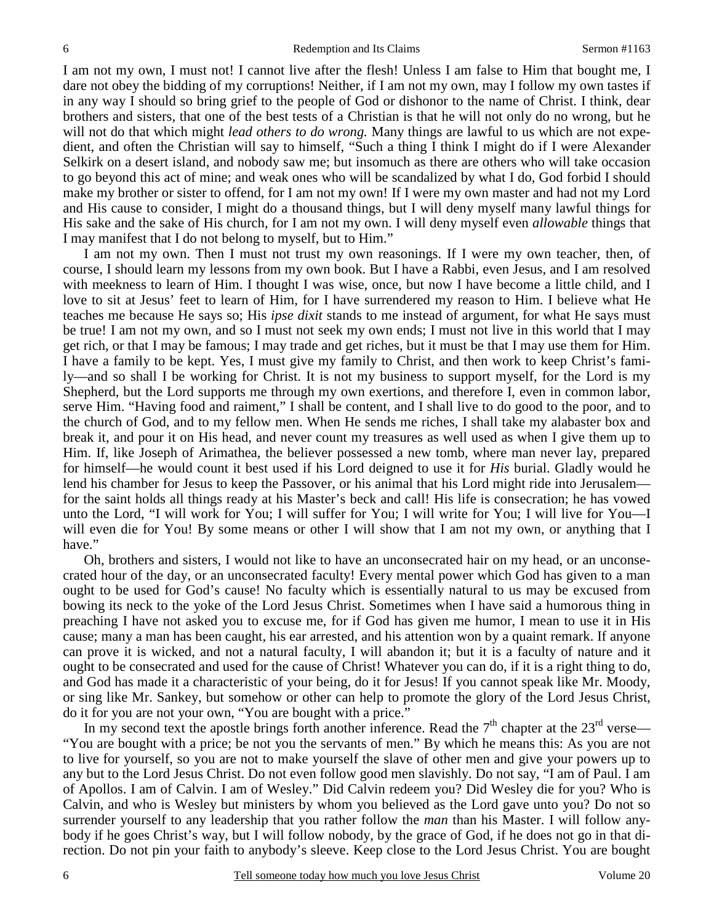I am not my own, I must not! I cannot live after the flesh! Unless I am false to Him that bought me, I dare not obey the bidding of my corruptions! Neither, if I am not my own, may I follow my own tastes if in any way I should so bring grief to the people of God or dishonor to the name of Christ. I think, dear brothers and sisters, that one of the best tests of a Christian is that he will not only do no wrong, but he will not do that which might *lead others to do wrong.* Many things are lawful to us which are not expedient, and often the Christian will say to himself, "Such a thing I think I might do if I were Alexander Selkirk on a desert island, and nobody saw me; but insomuch as there are others who will take occasion to go beyond this act of mine; and weak ones who will be scandalized by what I do, God forbid I should make my brother or sister to offend, for I am not my own! If I were my own master and had not my Lord and His cause to consider, I might do a thousand things, but I will deny myself many lawful things for His sake and the sake of His church, for I am not my own. I will deny myself even *allowable* things that I may manifest that I do not belong to myself, but to Him."

I am not my own. Then I must not trust my own reasonings. If I were my own teacher, then, of course, I should learn my lessons from my own book. But I have a Rabbi, even Jesus, and I am resolved with meekness to learn of Him. I thought I was wise, once, but now I have become a little child, and I love to sit at Jesus' feet to learn of Him, for I have surrendered my reason to Him. I believe what He teaches me because He says so; His *ipse dixit* stands to me instead of argument, for what He says must be true! I am not my own, and so I must not seek my own ends; I must not live in this world that I may get rich, or that I may be famous; I may trade and get riches, but it must be that I may use them for Him. I have a family to be kept. Yes, I must give my family to Christ, and then work to keep Christ's family—and so shall I be working for Christ. It is not my business to support myself, for the Lord is my Shepherd, but the Lord supports me through my own exertions, and therefore I, even in common labor, serve Him. "Having food and raiment," I shall be content, and I shall live to do good to the poor, and to the church of God, and to my fellow men. When He sends me riches, I shall take my alabaster box and break it, and pour it on His head, and never count my treasures as well used as when I give them up to Him. If, like Joseph of Arimathea, the believer possessed a new tomb, where man never lay, prepared for himself—he would count it best used if his Lord deigned to use it for *His* burial. Gladly would he lend his chamber for Jesus to keep the Passover, or his animal that his Lord might ride into Jerusalem for the saint holds all things ready at his Master's beck and call! His life is consecration; he has vowed unto the Lord, "I will work for You; I will suffer for You; I will write for You; I will live for You—I will even die for You! By some means or other I will show that I am not my own, or anything that I have."

Oh, brothers and sisters, I would not like to have an unconsecrated hair on my head, or an unconsecrated hour of the day, or an unconsecrated faculty! Every mental power which God has given to a man ought to be used for God's cause! No faculty which is essentially natural to us may be excused from bowing its neck to the yoke of the Lord Jesus Christ. Sometimes when I have said a humorous thing in preaching I have not asked you to excuse me, for if God has given me humor, I mean to use it in His cause; many a man has been caught, his ear arrested, and his attention won by a quaint remark. If anyone can prove it is wicked, and not a natural faculty, I will abandon it; but it is a faculty of nature and it ought to be consecrated and used for the cause of Christ! Whatever you can do, if it is a right thing to do, and God has made it a characteristic of your being, do it for Jesus! If you cannot speak like Mr. Moody, or sing like Mr. Sankey, but somehow or other can help to promote the glory of the Lord Jesus Christ, do it for you are not your own, "You are bought with a price."

In my second text the apostle brings forth another inference. Read the  $7<sup>th</sup>$  chapter at the  $23<sup>rd</sup>$  verse— "You are bought with a price; be not you the servants of men." By which he means this: As you are not to live for yourself, so you are not to make yourself the slave of other men and give your powers up to any but to the Lord Jesus Christ. Do not even follow good men slavishly. Do not say, "I am of Paul. I am of Apollos. I am of Calvin. I am of Wesley." Did Calvin redeem you? Did Wesley die for you? Who is Calvin, and who is Wesley but ministers by whom you believed as the Lord gave unto you? Do not so surrender yourself to any leadership that you rather follow the *man* than his Master. I will follow anybody if he goes Christ's way, but I will follow nobody, by the grace of God, if he does not go in that direction. Do not pin your faith to anybody's sleeve. Keep close to the Lord Jesus Christ. You are bought

6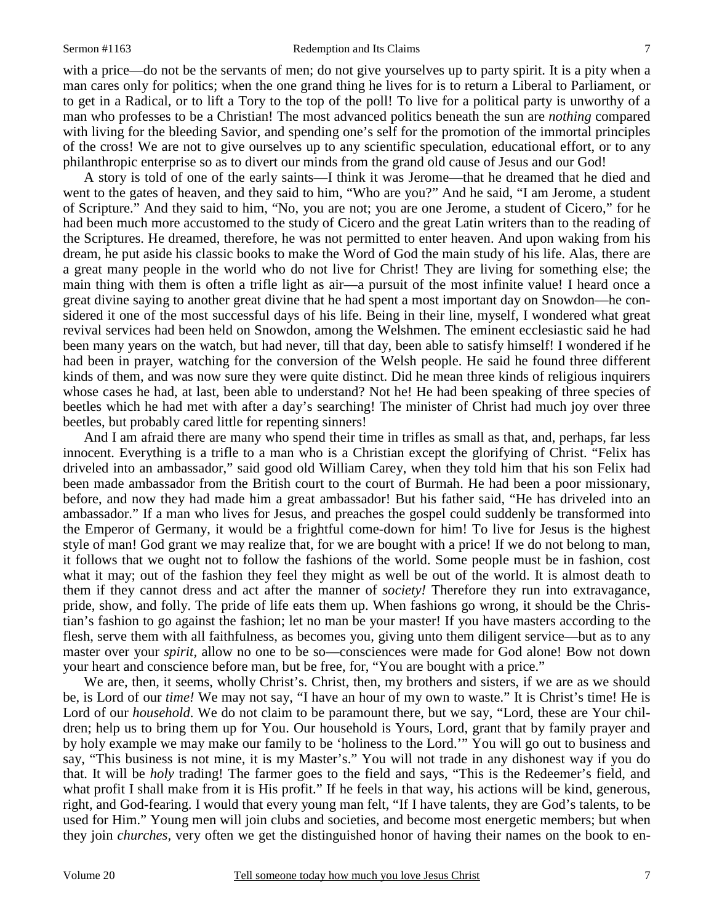with a price—do not be the servants of men; do not give yourselves up to party spirit. It is a pity when a man cares only for politics; when the one grand thing he lives for is to return a Liberal to Parliament, or to get in a Radical, or to lift a Tory to the top of the poll! To live for a political party is unworthy of a man who professes to be a Christian! The most advanced politics beneath the sun are *nothing* compared with living for the bleeding Savior, and spending one's self for the promotion of the immortal principles of the cross! We are not to give ourselves up to any scientific speculation, educational effort, or to any philanthropic enterprise so as to divert our minds from the grand old cause of Jesus and our God!

A story is told of one of the early saints—I think it was Jerome—that he dreamed that he died and went to the gates of heaven, and they said to him, "Who are you?" And he said, "I am Jerome, a student of Scripture." And they said to him, "No, you are not; you are one Jerome, a student of Cicero," for he had been much more accustomed to the study of Cicero and the great Latin writers than to the reading of the Scriptures. He dreamed, therefore, he was not permitted to enter heaven. And upon waking from his dream, he put aside his classic books to make the Word of God the main study of his life. Alas, there are a great many people in the world who do not live for Christ! They are living for something else; the main thing with them is often a trifle light as air—a pursuit of the most infinite value! I heard once a great divine saying to another great divine that he had spent a most important day on Snowdon—he considered it one of the most successful days of his life. Being in their line, myself, I wondered what great revival services had been held on Snowdon, among the Welshmen. The eminent ecclesiastic said he had been many years on the watch, but had never, till that day, been able to satisfy himself! I wondered if he had been in prayer, watching for the conversion of the Welsh people. He said he found three different kinds of them, and was now sure they were quite distinct. Did he mean three kinds of religious inquirers whose cases he had, at last, been able to understand? Not he! He had been speaking of three species of beetles which he had met with after a day's searching! The minister of Christ had much joy over three beetles, but probably cared little for repenting sinners!

And I am afraid there are many who spend their time in trifles as small as that, and, perhaps, far less innocent. Everything is a trifle to a man who is a Christian except the glorifying of Christ. "Felix has driveled into an ambassador," said good old William Carey, when they told him that his son Felix had been made ambassador from the British court to the court of Burmah. He had been a poor missionary, before, and now they had made him a great ambassador! But his father said, "He has driveled into an ambassador." If a man who lives for Jesus, and preaches the gospel could suddenly be transformed into the Emperor of Germany, it would be a frightful come-down for him! To live for Jesus is the highest style of man! God grant we may realize that, for we are bought with a price! If we do not belong to man, it follows that we ought not to follow the fashions of the world. Some people must be in fashion, cost what it may; out of the fashion they feel they might as well be out of the world. It is almost death to them if they cannot dress and act after the manner of *society!* Therefore they run into extravagance, pride, show, and folly. The pride of life eats them up. When fashions go wrong, it should be the Christian's fashion to go against the fashion; let no man be your master! If you have masters according to the flesh, serve them with all faithfulness, as becomes you, giving unto them diligent service—but as to any master over your *spirit,* allow no one to be so—consciences were made for God alone! Bow not down your heart and conscience before man, but be free, for, "You are bought with a price."

We are, then, it seems, wholly Christ's. Christ, then, my brothers and sisters, if we are as we should be, is Lord of our *time!* We may not say, "I have an hour of my own to waste." It is Christ's time! He is Lord of our *household*. We do not claim to be paramount there, but we say, "Lord, these are Your children; help us to bring them up for You. Our household is Yours, Lord, grant that by family prayer and by holy example we may make our family to be 'holiness to the Lord.'" You will go out to business and say, "This business is not mine, it is my Master's." You will not trade in any dishonest way if you do that. It will be *holy* trading! The farmer goes to the field and says, "This is the Redeemer's field, and what profit I shall make from it is His profit." If he feels in that way, his actions will be kind, generous, right, and God-fearing. I would that every young man felt, "If I have talents, they are God's talents, to be used for Him." Young men will join clubs and societies, and become most energetic members; but when they join *churches,* very often we get the distinguished honor of having their names on the book to en